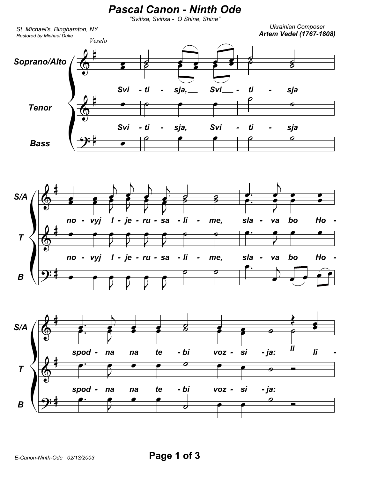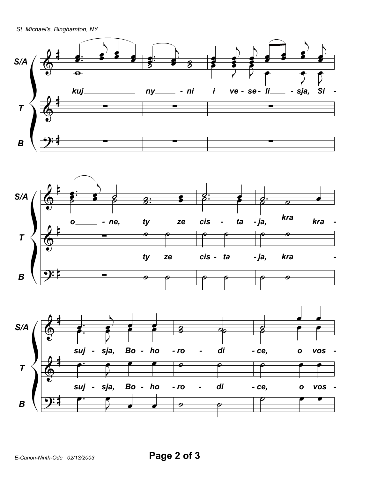